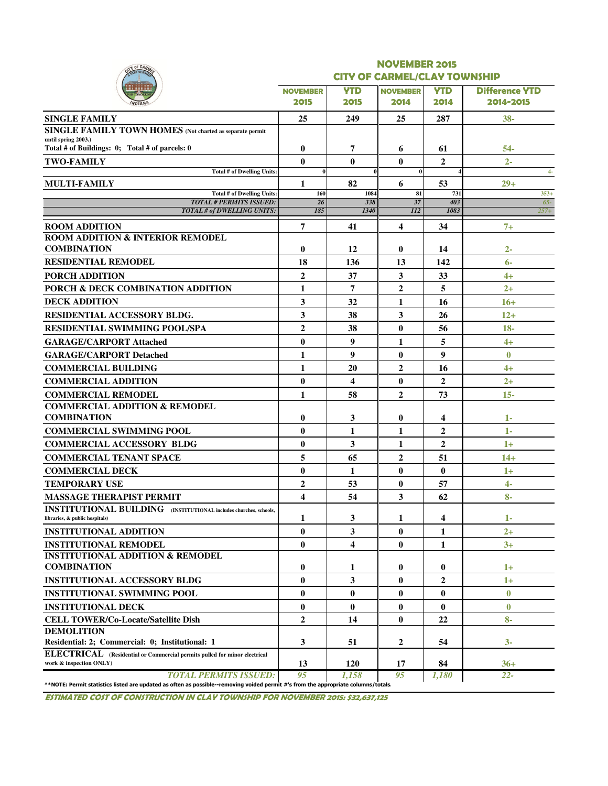|                                                                                                                                    |                  |             | <b>NOVEMBER 2015</b>                |                |                       |  |  |
|------------------------------------------------------------------------------------------------------------------------------------|------------------|-------------|-------------------------------------|----------------|-----------------------|--|--|
|                                                                                                                                    |                  |             | <b>CITY OF CARMEL/CLAY TOWNSHIP</b> |                |                       |  |  |
|                                                                                                                                    | <b>NOVEMBER</b>  | <b>YTD</b>  | <b>NOVEMBER</b>                     | <b>YTD</b>     | <b>Difference YTD</b> |  |  |
|                                                                                                                                    | 2015             | 2015        | 2014                                | 2014           | 2014-2015             |  |  |
| <b>SINGLE FAMILY</b>                                                                                                               | 25               | 249         | 25                                  | 287            | $38 -$                |  |  |
| SINGLE FAMILY TOWN HOMES (Not charted as separate permit                                                                           |                  |             |                                     |                |                       |  |  |
| until spring 2003.)<br>Total # of Buildings: 0; Total # of parcels: 0                                                              | $\bf{0}$         | 7           | 6                                   | 61             | 54-                   |  |  |
| <b>TWO-FAMILY</b>                                                                                                                  | $\bf{0}$         | $\bf{0}$    | $\bf{0}$                            | $\overline{2}$ | $2 -$                 |  |  |
| <b>Total # of Dwelling Units:</b>                                                                                                  | $\bf{0}$         |             | $\bf{0}$                            |                | $4-$                  |  |  |
| <b>MULTI-FAMILY</b>                                                                                                                | 1                | 82          | 6                                   | 53             | $29+$                 |  |  |
| <b>Total # of Dwelling Units:</b>                                                                                                  | 160              | 1084        | 81                                  | 731            | $353+$                |  |  |
| <b>TOTAL # PERMITS ISSUED:</b><br>TOTAL # of DWELLING UNITS:                                                                       | 26<br>185        | 338<br>1340 | 37<br>112                           | 403<br>1083    | $65 -$<br>$257+$      |  |  |
| <b>ROOM ADDITION</b>                                                                                                               | 7                | 41          | $\overline{\mathbf{4}}$             | 34             | $7+$                  |  |  |
| <b>ROOM ADDITION &amp; INTERIOR REMODEL</b>                                                                                        |                  |             |                                     |                |                       |  |  |
| <b>COMBINATION</b>                                                                                                                 | $\bf{0}$         | 12          | 0                                   | 14             | $2 -$                 |  |  |
| <b>RESIDENTIAL REMODEL</b>                                                                                                         | 18               | 136         | 13                                  | 142            | $6-$                  |  |  |
| <b>PORCH ADDITION</b>                                                                                                              | $\overline{2}$   | 37          | $\mathbf{3}$                        | 33             | $4+$                  |  |  |
| PORCH & DECK COMBINATION ADDITION                                                                                                  | 1                | 7           | $\overline{2}$                      | 5              | $2^{+}$               |  |  |
| <b>DECK ADDITION</b>                                                                                                               | 3                | 32          | 1                                   | 16             | $16+$                 |  |  |
| <b>RESIDENTIAL ACCESSORY BLDG.</b>                                                                                                 | 3                | 38          | 3                                   | 26             | $12+$                 |  |  |
| <b>RESIDENTIAL SWIMMING POOL/SPA</b>                                                                                               | $\overline{2}$   | 38          | $\bf{0}$                            | 56             | $18 -$                |  |  |
| <b>GARAGE/CARPORT Attached</b>                                                                                                     | $\bf{0}$         | 9           | 1                                   | 5              | $4+$                  |  |  |
| <b>GARAGE/CARPORT Detached</b>                                                                                                     | 1                | 9           | $\bf{0}$                            | 9              | $\bf{0}$              |  |  |
| <b>COMMERCIAL BUILDING</b>                                                                                                         | 1                | 20          | $\overline{2}$                      | 16             | $4+$                  |  |  |
| <b>COMMERCIAL ADDITION</b>                                                                                                         | $\bf{0}$         | 4           | $\bf{0}$                            | $\overline{2}$ | $2+$                  |  |  |
| <b>COMMERCIAL REMODEL</b>                                                                                                          | 1                | 58          | $\overline{2}$                      | 73             | $15 -$                |  |  |
| <b>COMMERCIAL ADDITION &amp; REMODEL</b>                                                                                           |                  |             |                                     |                |                       |  |  |
| <b>COMBINATION</b>                                                                                                                 | $\bf{0}$         | 3           | $\bf{0}$                            | 4              | $1-$                  |  |  |
| <b>COMMERCIAL SWIMMING POOL</b>                                                                                                    | $\bf{0}$         | 1           | 1                                   | $\overline{2}$ | $1 -$                 |  |  |
| <b>COMMERCIAL ACCESSORY BLDG</b>                                                                                                   | $\bf{0}$         | 3           | 1                                   | $\overline{2}$ | $1+$                  |  |  |
| <b>COMMERCIAL TENANT SPACE</b>                                                                                                     | 5                | 65          | $\overline{2}$                      | 51             | $14+$                 |  |  |
| <b>COMMERCIAL DECK</b>                                                                                                             | $\bf{0}$         | 1           | $\bf{0}$                            | $\bf{0}$       | $1+$                  |  |  |
| <b>TEMPORARY USE</b>                                                                                                               | $\mathbf{2}$     | 53          | $\bf{0}$                            | 57             | $4 -$                 |  |  |
| <b>MASSAGE THERAPIST PERMIT</b>                                                                                                    | $\boldsymbol{4}$ | 54          | 3                                   | 62             | $8-$                  |  |  |
| <b>INSTITUTIONAL BUILDING</b> (INSTITUTIONAL includes churches, schools,                                                           |                  |             |                                     |                |                       |  |  |
| libraries, & public hospitals)                                                                                                     | 1                | 3           | 1                                   | 4              | $1 -$                 |  |  |
| <b>INSTITUTIONAL ADDITION</b>                                                                                                      | $\bf{0}$         | 3           | $\bf{0}$                            | 1              | $2+$                  |  |  |
| <b>INSTITUTIONAL REMODEL</b>                                                                                                       | $\bf{0}$         | 4           | $\bf{0}$                            | 1              | $3+$                  |  |  |
| <b>INSTITUTIONAL ADDITION &amp; REMODEL</b><br><b>COMBINATION</b>                                                                  | $\bf{0}$         | 1           | $\bf{0}$                            | $\bf{0}$       | $1+$                  |  |  |
| <b>INSTITUTIONAL ACCESSORY BLDG</b>                                                                                                | $\bf{0}$         | 3           | $\bf{0}$                            | 2              | $1+$                  |  |  |
| <b>INSTITUTIONAL SWIMMING POOL</b>                                                                                                 | $\bf{0}$         | $\bf{0}$    | 0                                   | 0              | $\boldsymbol{0}$      |  |  |
| <b>INSTITUTIONAL DECK</b>                                                                                                          | $\bf{0}$         | $\bf{0}$    | $\bf{0}$                            | $\bf{0}$       | $\bf{0}$              |  |  |
| <b>CELL TOWER/Co-Locate/Satellite Dish</b>                                                                                         | $\mathbf{2}$     | 14          | $\bf{0}$                            | 22             | $8-$                  |  |  |
| <b>DEMOLITION</b>                                                                                                                  |                  |             |                                     |                |                       |  |  |
| Residential: 2; Commercial: 0; Institutional: 1                                                                                    | 3                | 51          | 2                                   | 54             | $3-$                  |  |  |
| ELECTRICAL (Residential or Commercial permits pulled for minor electrical<br>work & inspection ONLY)                               | 13               | <b>120</b>  | 17                                  | 84             | $36+$                 |  |  |
| <b>TOTAL PERMITS ISSUED:</b>                                                                                                       | 95               | 1.158       | 95                                  | 1,180          | $22 -$                |  |  |
| **NOTE: Permit statistics listed are updated as often as possible--removing voided permit #'s from the appropriate columns/totals. |                  |             |                                     |                |                       |  |  |

ESTIMATED COST OF CONSTRUCTION IN CLAY TOWNSHIP FOR NOVEMBER 2015: \$32,637,125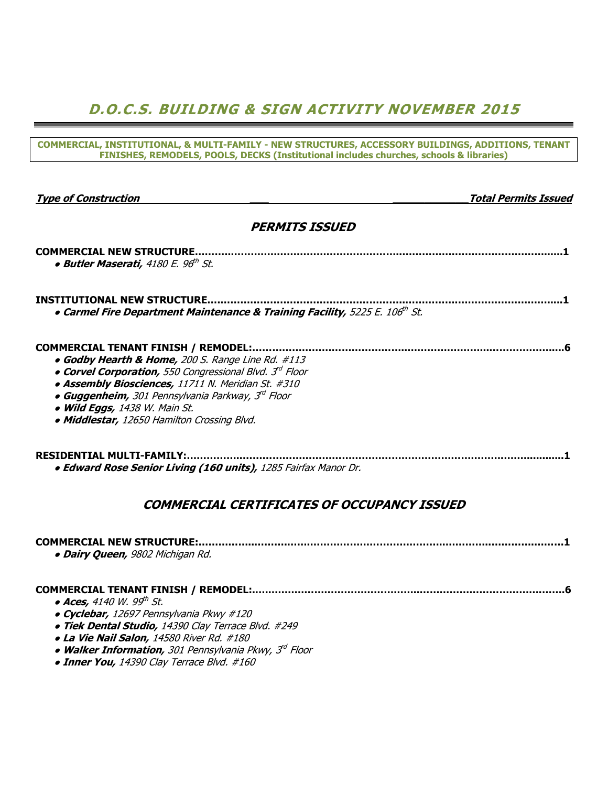### D.O.C.S. BUILDING & SIGN ACTIVITY NOVEMBER 2015

COMMERCIAL, INSTITUTIONAL, & MULTI-FAMILY - NEW STRUCTURES, ACCESSORY BUILDINGS, ADDITIONS, TENANT FINISHES, REMODELS, POOLS, DECKS (Institutional includes churches, schools & libraries)

|  |  |  | <b>Type of Construction</b> |  |
|--|--|--|-----------------------------|--|
|  |  |  |                             |  |

**Total Permits Issued** 

#### PERMITS ISSUED

| <b>COMMERCIAL NEW STRUCTURE</b><br>• Butler Maserati, 4180 E. 96 <sup>th</sup> St.                                                                                                                                                                                                                                                                                             |
|--------------------------------------------------------------------------------------------------------------------------------------------------------------------------------------------------------------------------------------------------------------------------------------------------------------------------------------------------------------------------------|
| <b>INSTITUTIONAL NEW STRUCTURE.</b><br>• Carmel Fire Department Maintenance & Training Facility, 5225 E. 106th St.                                                                                                                                                                                                                                                             |
| <b>COMMERCIAL TENANT FINISH / REMODEL:.</b><br>• Godby Hearth & Home, 200 S. Range Line Rd. #113<br>• Corvel Corporation, 550 Congressional Blvd. 3 <sup>rd</sup> Floor<br>• Assembly Biosciences, 11711 N. Meridian St. #310<br>• Guggenheim, 301 Pennsylvania Parkway, 3 <sup>rd</sup> Floor<br>• Wild Eggs, 1438 W. Main St.<br>• Middlestar, 12650 Hamilton Crossing Blvd. |
| RESIDENTIAL MULTI-FAMILY:<br>• Edward Rose Senior Living (160 units), 1285 Fairfax Manor Dr.                                                                                                                                                                                                                                                                                   |

#### COMMERCIAL CERTIFICATES OF OCCUPANCY ISSUED

| · Dairy Queen, 9802 Michigan Rd. |  |
|----------------------------------|--|

#### COMMERCIAL TENANT FINISH / REMODEL:.…..….…………………………………..……………………………….…….6

- $\bullet$  Aces, 4140 W. 99th St.
- Cyclebar, 12697 Pennsylvania Pkwy #120
- Tiek Dental Studio, 14390 Clay Terrace Blvd. #249
- La Vie Nail Salon, 14580 River Rd. #180
- Walker Information, 301 Pennsylvania Pkwy, 3<sup>rd</sup> Floor
- Inner You, 14390 Clay Terrace Blvd. #160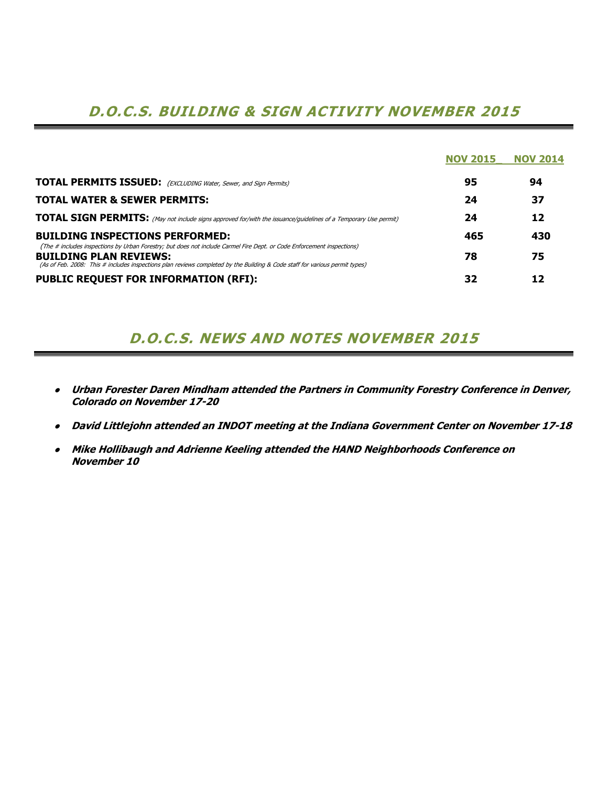## D.O.C.S. BUILDING & SIGN ACTIVITY NOVEMBER 2015

|                                                                                                                                                                                                                                                                                        | <b>NOV 2015</b> | <b>NOV 2014</b> |
|----------------------------------------------------------------------------------------------------------------------------------------------------------------------------------------------------------------------------------------------------------------------------------------|-----------------|-----------------|
| <b>TOTAL PERMITS ISSUED:</b> (EXCLUDING Water, Sewer, and Sign Permits)                                                                                                                                                                                                                | 95              | 94              |
| <b>TOTAL WATER &amp; SEWER PERMITS:</b>                                                                                                                                                                                                                                                | 24              | 37              |
| <b>TOTAL SIGN PERMITS:</b> (May not include signs approved for/with the issuance/guidelines of a Temporary Use permit)                                                                                                                                                                 | 24              | 12              |
| <b>BUILDING INSPECTIONS PERFORMED:</b>                                                                                                                                                                                                                                                 | 465             | 430             |
| (The # includes inspections by Urban Forestry; but does not include Carmel Fire Dept. or Code Enforcement inspections)<br><b>BUILDING PLAN REVIEWS:</b><br>(As of Feb. 2008: This # includes inspections plan reviews completed by the Building & Code staff for various permit types) | 78              | 75              |
| <b>PUBLIC REQUEST FOR INFORMATION (RFI):</b>                                                                                                                                                                                                                                           | 32              | 12              |

### D.O.C.S. NEWS AND NOTES NOVEMBER 2015

- Urban Forester Daren Mindham attended the Partners in Community Forestry Conference in Denver, Colorado on November 17-20
- David Littlejohn attended an INDOT meeting at the Indiana Government Center on November 17-18
- Mike Hollibaugh and Adrienne Keeling attended the HAND Neighborhoods Conference on November 10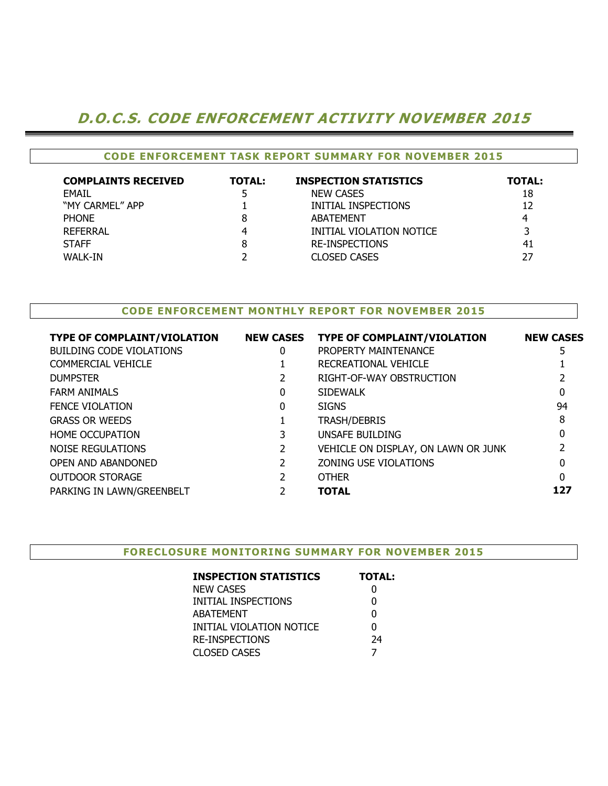### D.O.C.S. CODE ENFORCEMENT ACTIVITY NOVEMBER 2015

| <b>CODE ENFORCEMENT TASK REPORT SUMMARY FOR NOVEMBER 2015</b> |               |                              |               |  |  |  |  |  |  |  |  |  |
|---------------------------------------------------------------|---------------|------------------------------|---------------|--|--|--|--|--|--|--|--|--|
| <b>COMPLAINTS RECEIVED</b>                                    | <b>TOTAL:</b> | <b>INSPECTION STATISTICS</b> | <b>TOTAL:</b> |  |  |  |  |  |  |  |  |  |
| <b>FMAIL</b>                                                  |               | <b>NEW CASES</b>             | 18            |  |  |  |  |  |  |  |  |  |
| "MY CARMEL" APP                                               |               | INITIAL INSPECTIONS          | 12            |  |  |  |  |  |  |  |  |  |
| <b>PHONE</b>                                                  | 8             | <b>ABATEMENT</b>             | 4             |  |  |  |  |  |  |  |  |  |
| <b>REFERRAL</b>                                               | 4             | INITIAL VIOLATION NOTICE     |               |  |  |  |  |  |  |  |  |  |
| <b>STAFF</b>                                                  | 8             | <b>RE-INSPECTIONS</b>        | 41            |  |  |  |  |  |  |  |  |  |
| WALK-IN                                                       |               | <b>CLOSED CASES</b>          | 27            |  |  |  |  |  |  |  |  |  |

#### CODE ENFORCEMENT MONTHLY REPORT FOR NOVEMBER 2015

| <b>TYPE OF COMPLAINT/VIOLATION</b> | <b>NEW CASES</b> | <b>TYPE OF COMPLAINT/VIOLATION</b>  | <b>NEW CASES</b> |
|------------------------------------|------------------|-------------------------------------|------------------|
| <b>BUILDING CODE VIOLATIONS</b>    | 0                | PROPERTY MAINTENANCE                | 5                |
| COMMERCIAL VEHICLE                 |                  | RECREATIONAL VEHICLE                |                  |
| <b>DUMPSTER</b>                    |                  | RIGHT-OF-WAY OBSTRUCTION            |                  |
| <b>FARM ANIMALS</b>                | 0                | <b>SIDEWALK</b>                     | 0                |
| <b>FENCE VIOLATION</b>             | 0                | <b>SIGNS</b>                        | 94               |
| <b>GRASS OR WEEDS</b>              |                  | <b>TRASH/DEBRIS</b>                 | 8                |
| <b>HOME OCCUPATION</b>             |                  | UNSAFE BUILDING                     |                  |
| NOISE REGULATIONS                  |                  | VEHICLE ON DISPLAY, ON LAWN OR JUNK |                  |
| OPEN AND ABANDONED                 |                  | ZONING USE VIOLATIONS               |                  |
| <b>OUTDOOR STORAGE</b>             |                  | <b>OTHER</b>                        | $\Omega$         |
| PARKING IN LAWN/GREENBELT          |                  | <b>TOTAL</b>                        | 127              |
|                                    |                  |                                     |                  |

#### FORECLOSURE MONITORING SUMMARY FOR NOVEMBER 2015

| <b>INSPECTION STATISTICS</b> | <b>TOTAL:</b> |
|------------------------------|---------------|
| <b>NEW CASES</b>             |               |
| INITIAL INSPECTIONS          | 0             |
| ABATEMENT                    | 0             |
| INITIAL VIOLATION NOTICE     | N             |
| <b>RE-INSPECTIONS</b>        | 24            |
| <b>CLOSED CASES</b>          |               |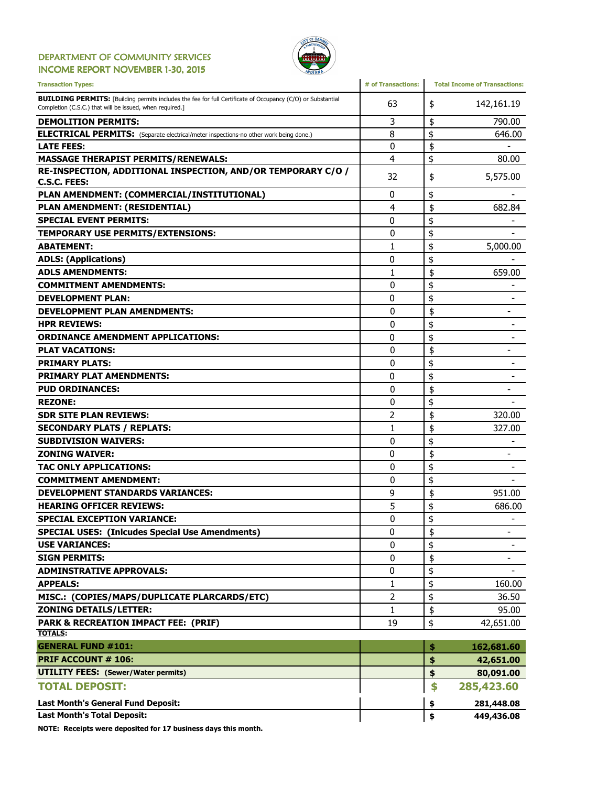#### DEPARTMENT OF COMMUNITY SERVICES INCOME REPORT NOVEMBER 1-30, 2015



| <b>Transaction Types:</b>                                                                                                                                                      | # of Transactions: | <b>Total Income of Transactions:</b> |
|--------------------------------------------------------------------------------------------------------------------------------------------------------------------------------|--------------------|--------------------------------------|
| <b>BUILDING PERMITS:</b> [Building permits includes the fee for full Certificate of Occupancy (C/O) or Substantial<br>Completion (C.S.C.) that will be issued, when required.] | 63                 | 142,161.19<br>\$                     |
| <b>DEMOLITION PERMITS:</b>                                                                                                                                                     | 3                  | \$<br>790.00                         |
| <b>ELECTRICAL PERMITS:</b> (Separate electrical/meter inspections-no other work being done.)                                                                                   | 8                  | \$<br>646.00                         |
| <b>LATE FEES:</b>                                                                                                                                                              | 0                  | \$                                   |
| <b>MASSAGE THERAPIST PERMITS/RENEWALS:</b>                                                                                                                                     | 4                  | \$<br>80.00                          |
| RE-INSPECTION, ADDITIONAL INSPECTION, AND/OR TEMPORARY C/O /<br>C.S.C. FEES:                                                                                                   | 32                 | 5,575.00<br>\$                       |
| PLAN AMENDMENT: (COMMERCIAL/INSTITUTIONAL)                                                                                                                                     | 0                  | \$                                   |
| PLAN AMENDMENT: (RESIDENTIAL)                                                                                                                                                  | 4                  | \$<br>682.84                         |
| <b>SPECIAL EVENT PERMITS:</b>                                                                                                                                                  | 0                  | \$                                   |
| <b>TEMPORARY USE PERMITS/EXTENSIONS:</b>                                                                                                                                       | 0                  | \$                                   |
| <b>ABATEMENT:</b>                                                                                                                                                              | 1                  | \$<br>5,000.00                       |
| <b>ADLS: (Applications)</b>                                                                                                                                                    | 0                  | \$                                   |
| <b>ADLS AMENDMENTS:</b>                                                                                                                                                        | 1                  | \$<br>659.00                         |
| <b>COMMITMENT AMENDMENTS:</b>                                                                                                                                                  | 0                  | \$                                   |
| <b>DEVELOPMENT PLAN:</b>                                                                                                                                                       | 0                  | \$                                   |
| <b>DEVELOPMENT PLAN AMENDMENTS:</b>                                                                                                                                            | 0                  | \$                                   |
| <b>HPR REVIEWS:</b>                                                                                                                                                            | 0                  | \$                                   |
| <b>ORDINANCE AMENDMENT APPLICATIONS:</b>                                                                                                                                       | 0                  | \$                                   |
| <b>PLAT VACATIONS:</b>                                                                                                                                                         | 0                  | \$<br>$\overline{\phantom{0}}$       |
| <b>PRIMARY PLATS:</b>                                                                                                                                                          | $\mathbf{0}$       | \$                                   |
| <b>PRIMARY PLAT AMENDMENTS:</b>                                                                                                                                                | 0                  | \$                                   |
| <b>PUD ORDINANCES:</b>                                                                                                                                                         | 0                  | \$<br>$\overline{\phantom{0}}$       |
| <b>REZONE:</b>                                                                                                                                                                 | 0                  | \$                                   |
| <b>SDR SITE PLAN REVIEWS:</b>                                                                                                                                                  | $\overline{2}$     | \$<br>320.00                         |
| <b>SECONDARY PLATS / REPLATS:</b>                                                                                                                                              | 1                  | \$<br>327.00                         |
| <b>SUBDIVISION WAIVERS:</b>                                                                                                                                                    | $\mathbf{0}$       | \$                                   |
| <b>ZONING WAIVER:</b>                                                                                                                                                          | 0                  | \$                                   |
| <b>TAC ONLY APPLICATIONS:</b>                                                                                                                                                  | 0                  | \$                                   |
| <b>COMMITMENT AMENDMENT:</b>                                                                                                                                                   | $\mathbf{0}$       | \$                                   |
| <b>DEVELOPMENT STANDARDS VARIANCES:</b>                                                                                                                                        | 9                  | \$<br>951.00                         |
| <b>HEARING OFFICER REVIEWS:</b>                                                                                                                                                | 5                  | \$<br>686.00                         |
| <b>SPECIAL EXCEPTION VARIANCE:</b>                                                                                                                                             | $\mathbf{0}$       | \$                                   |
| <b>SPECIAL USES: (Inlcudes Special Use Amendments)</b>                                                                                                                         | 0                  | \$<br>$\overline{\phantom{0}}$       |
| <b>USE VARIANCES:</b>                                                                                                                                                          | 0                  | \$                                   |
| <b>SIGN PERMITS:</b>                                                                                                                                                           | 0                  | \$<br>-                              |
| <b>ADMINSTRATIVE APPROVALS:</b>                                                                                                                                                | 0                  | \$                                   |
| <b>APPEALS:</b>                                                                                                                                                                | 1                  | \$<br>160.00                         |
| MISC.: (COPIES/MAPS/DUPLICATE PLARCARDS/ETC)                                                                                                                                   | 2                  | \$<br>36.50                          |
| <b>ZONING DETAILS/LETTER:</b>                                                                                                                                                  | 1                  | \$<br>95.00                          |
| PARK & RECREATION IMPACT FEE: (PRIF)                                                                                                                                           | 19                 | \$<br>42,651.00                      |
| <b>TOTALS:</b>                                                                                                                                                                 |                    |                                      |
| <b>GENERAL FUND #101:</b>                                                                                                                                                      |                    | 162,681.60<br>\$                     |
| <b>PRIF ACCOUNT # 106:</b>                                                                                                                                                     |                    | \$<br>42,651.00                      |
| <b>UTILITY FEES:</b> (Sewer/Water permits)                                                                                                                                     |                    | \$<br>80,091.00                      |
| <b>TOTAL DEPOSIT:</b>                                                                                                                                                          |                    | \$<br>285,423.60                     |
| Last Month's General Fund Deposit:                                                                                                                                             |                    | 281,448.08<br>\$                     |
| <b>Last Month's Total Deposit:</b>                                                                                                                                             |                    | \$<br>449,436.08                     |

NOTE: Receipts were deposited for 17 business days this month.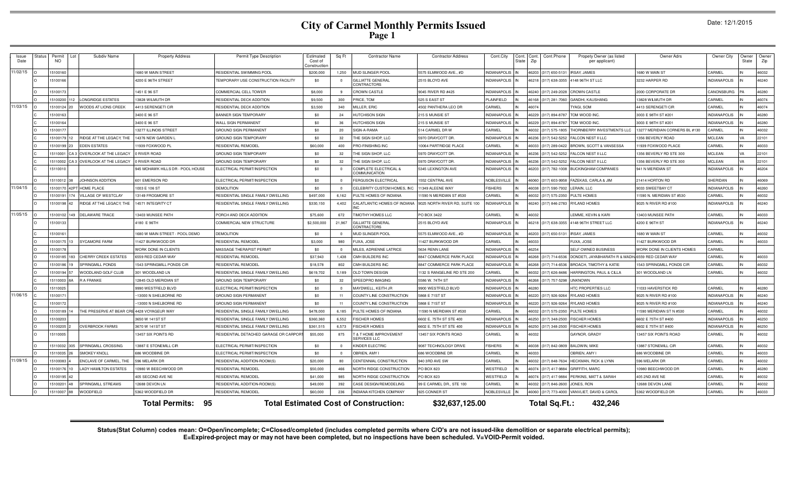## **City of Carmel Monthly Permits Issued Page 1**

|  |  | Date: 12/1/2015 |
|--|--|-----------------|
|--|--|-----------------|

| Issue<br>Date | Status | Permit<br><b>NO</b> | Subdiv Name                                | <b>Property Address</b>          | Permit Type Description                   | Estimated<br>Cost of<br>Constructio | Sq Ft                   | <b>Contractor Name</b>                           | <b>Contractor Address</b>      | Cont.City           | Cont.<br>State | Cont<br>Zip | Cont.Phone           | Propety Owner (as listed<br>per applicant)       | Owner Adrs                       | Owner City          | Owne<br>State | Owner<br>Zip |
|---------------|--------|---------------------|--------------------------------------------|----------------------------------|-------------------------------------------|-------------------------------------|-------------------------|--------------------------------------------------|--------------------------------|---------------------|----------------|-------------|----------------------|--------------------------------------------------|----------------------------------|---------------------|---------------|--------------|
| 1/02/15       |        | 5100160             |                                            | 1680 W MAIN STREET               | RESIDENTIAL SWIMMING POOL                 | \$200,000                           | 1.250                   | MUD SLINGER POOL                                 | 5575 ELMWOOD AVE., #D          | <b>NDIANAPOLIS</b>  |                |             | 46203 (317) 650-5131 | <b>IRSAY, JAMES</b>                              | <b>680 W MAIN ST</b>             | CARMEL              |               | 46032        |
|               |        | 5100166             |                                            | 4200 E 96TH STREET               | <b>EMPORARY USE CONSTRUCTION FACILITY</b> | \$0                                 | $\overline{\mathbf{0}}$ | GILLIATTE GENERAL<br>CONTRACTORS                 | 2515 BLOYD AVE                 | NDIANAPOLIS         |                |             | 46218 (317) 638-3355 | 4148 96TH ST LLC                                 | 3232 HARPER RD                   | <b>INDIANAPOLIS</b> |               | 46240        |
|               |        | 510017              |                                            | 1451 E 96 ST                     | COMMERCIAL CELL TOWER                     | \$8,000                             | - 9                     | <b>CROWN CASTLE</b>                              | 9045 RIVER RD #425             | <b>INDIANAPOLIS</b> |                |             | 46240 (317) 249-2028 | <b>CROWN CASTLE</b>                              | 2000 CORPORATE DF                | CANONSBURG          |               | 46280        |
|               |        | 5100200             | <b>LONGRIDGE ESTATES</b>                   | 13828 WILMUTH DR                 | RESIDENTIAL DECK ADDITION                 | \$9,500                             | 300                     | PRICE, TOM                                       | 525 S EAST ST                  | LAINFIFLD           |                |             | 46168 (317) 281-7060 | <b>GANDHI, KAUSHANG</b>                          | 3828 WILMUTH DR                  | CARMEL              |               | 46074        |
| 1/03/15       |        | 5100124             | WOODS AT LIONS CREEK                       | 4413 SERENGETI CIR               | RESIDENTIAL DECK ADDITION                 | \$3,500                             | 340                     | MILLER, ERIC                                     | 4502 PANTHERA LEO DR           | CARMEL              |                | 46074       |                      | TYAGI, SOM                                       | 4413 SERENGETI CIR               | CARMEL              |               | 46074        |
|               |        | 5100163             |                                            | 3400 E 96 ST                     | BANNER SIGN TEMPORARY                     | \$0                                 | 24                      | HUTCHISON SIGN                                   | 215 S MUNSIE ST                | <b>NDIANAPOLIS</b>  |                |             | 46229 (317) 894-8787 | TOM WOOD INC.                                    | 3003 E 98TH ST #201              | <b>INDIANAPOLIS</b> |               | 46280        |
|               |        | 5100164             |                                            | 3400 E 96 ST                     | WALL SIGN PERMANENT                       | \$0                                 | 36                      | HUTCHISON SIGN                                   | 215 S MUNSIE ST                | <b>INDIANAPOLIS</b> |                | 16229       | (317) 894-8787       | TOM WOOD INC                                     | 3003 E 98TH ST #201              | <b>INDIANAPOLIS</b> |               | 46280        |
|               |        | 510017              |                                            | 13277 ILLINOIS STREET            | GROUND SIGN PERMANENT                     | \$0                                 | 20                      | SIGN-A-RAMA                                      | 514 CARMEL DR W                | CARMEL              |                | 16032       | (317) 575-1805       | THORNBERRY INVESTMENTS LLC                       | 3277 MERIDIAN CORNERS BL #130    | CARMEL              |               | 46032        |
|               |        | 5100179             | RIDGE AT THE LEGACY, THE                   | 14376 NEW GARDEN L               | <b>GROUND SIGN TEMPORARY</b>              | \$0                                 | 32                      | HE SIGN SHOP, LLC                                | 5970 DRAYCOTT DR               | <b>NDIANAPOLIS</b>  |                | 16236       | (317) 542-5252       | <b>FALCON NEST II LLC</b>                        | 356 BEVERLY ROAD                 | <b>MCLEAN</b>       |               | 22101        |
|               |        | 5100199             | EDEN ESTATES                               | 11939 FOXWOOD PL                 | RESIDENTIAL REMODEL                       | \$60,000                            | 400                     | <b>PRO-FINISHING INC</b>                         | 10064 PARTRIDGE PLACE          | CARMEL              |                | 16033       | (317) 289-0422       | BROWN, SCOTT & VANSESSA                          | 1939 FOXWOOD PLACE               | CARMEL              |               | 46033        |
|               |        | 5110001             | A 3 OVERLOOK AT THE LEGACY                 | 0 RIVER ROAD                     | <b>GROUND SIGN TEMPORARY</b>              | \$0                                 | 32                      | THE SIGN SHOP, LLC                               | 5970 DRAYCOTT DR               | <b>NDIANAPOLIS</b>  |                | 46236       | (317) 542-5252       | FALCON NEST II LLC                               | 1356 BEVERLY RD STE 300          | <b>MCLEAN</b>       |               | 22101        |
|               |        | 5110002             | A 3 OVERLOOK AT THE LEGACY                 | 0 RIVER ROAD                     | <b>GROUND SIGN TEMPORARY</b>              | \$0                                 | 32                      | THE SIGN SHOP, LLC                               | 5970 DRAYCOTT DR.              | <b>INDIANAPOLIS</b> |                | 46236       | (317) 542-5252       | FALCON NEST II LLC                               | 356 BEVERLY RD STE 300           | <b>MCLEAN</b>       |               | 22101        |
|               |        | 5110010             |                                            | 945 MOHAWK HILLS DR - POOL HOUSE | ELECTRICAL PERMIT/INSPECTION              | \$0                                 | $\overline{\mathbf{0}}$ | COMPLETE ELECTRICAL &<br>COMMUNICATION           | 5345 LEXINGTON AVE             | NDIANAPOLIS         |                |             | 46203 (317) 782-1008 | <b>BUCKINGHAM COMPANIES</b>                      | 941 N MERIDIAN ST                | NDIANAPOLIS         |               | 46204        |
|               |        | 5110012             | JOHNSON ADDITION                           | 601 EMERSON RD                   | ELECTRICAL PERMIT/INSPECTION              | \$0                                 | $\Omega$                | <b>FERGUSON ELECTRICAL</b>                       | 1552 CENTRAL AVE               | NOBLESVILLE         |                |             | 46060 (317) 603-9958 | FAZEKAS, CARLA & JIM                             | 21414 HORTON RD                  | SHERIDAN            |               | 46069        |
| 11/04/15      |        | 5100170             | 42PT HOME PLACE                            | 1003 E 106 ST                    | DEMOLITION                                | \$0                                 | $\overline{0}$          | CELEBRITY CUSTOM HOMES, IN                       | 1349 ALEENE WAY                | <b>FISHERS</b>      |                | 16038       | (317) 590-7932       | LERAIN, LLC                                      | 9033 SWEETBAY CT                 | <b>INDIANAPOLIS</b> |               | 46260        |
|               |        | 5100191             | VILLAGE OF WESTCLAY<br>74                  | 13149 FROGMORE ST                | RESIDENTIAL SINGLE FAMILY DWELLING        | \$497,000                           | 6.162                   | PULTE HOMES OF INDIANA                           | 1590 N MERIDIAN ST #530        | CARMEL              |                | 16032       | 317) 575-2350        | <b>PULTE HOMES</b>                               | 1590 N. MERIDIAN ST #530         | CARMEL              |               | 46032        |
|               |        | 5100198             | RIDGE AT THE LEGACY, THE                   | 14571 INTEGRITY CT               | RESIDENTIAL SINGLE FAMILY DWELLING        | \$330,150                           | 4,402                   | CALATLANTIC HOMES OF INDIANA                     | 9025 NORTH RIVER RD, SUITE 100 | <b>VDIANAPOLIS</b>  |                |             | 46240 (317) 846-2783 | RYLAND HOMES                                     | 0025 N RIVER RD #100             | <b>INDIANAPOLIS</b> |               | 46240        |
| 1/05/15       |        | 5100102             | 49<br><b>DELAWARE TRACE</b>                | 13403 MUNSEE PATH                | PORCH AND DECK ADDITION                   | \$75,600                            | 672                     | <b>TIMOTHY HOMES LLC</b>                         | PO BOX 3422                    | CARMEL              |                | 46032       |                      | LEMME, KEVIN & KARI                              | <b>13403 MUNSEE PATH</b>         | CARMEL              |               | 46033        |
|               |        | 5100133             |                                            | 4180 E 96TH                      | COMMERCIAL NEW STRUCTURE                  | \$2,500,000                         | 21,967                  | <b>GILLIATTE GENERAL</b><br>CONTRACTORS          | 2515 BLOYD AVE                 | NDIANAPOLIS         |                |             | 46218 (317) 638-3355 | 4148 96TH STREET LLC                             | 4200 E 96TH ST                   | <b>INDIANAPOLIS</b> |               | 46240        |
|               |        | 510016              |                                            | 1680 W MAIN STREET - POOL DEMO   | <b>DEMOLITION</b>                         | \$0                                 | $\overline{\mathbf{0}}$ | MUD SLINGER POOL                                 | 5575 ELMWOOD AVE., #D          | NDIANAPOLIS         |                | 16203       | (317) 650-5131       | <b>IRSAY, JAMES</b>                              | <b>680 W MAIN ST</b>             | CARMEL              |               | 46032        |
|               |        | 510017              | SYCAMORE FARM                              | 11427 BURKWOOD DR                | <b>ESIDENTIAL REMODEI</b>                 | \$3,000                             | 980                     | <b>FUXA, JOSE</b>                                | 1427 BURKWOOD DR               | CARMEL              |                | 46033       |                      | FUXA, JOSE                                       | 1427 BURKWOOD DR                 | CARMEL              |               | 46033        |
|               |        | 5100178             |                                            | WORK DONE IN CLIENTS             | MASSAGE THERAPIST PERMIT                  | \$0                                 | $\Omega$                | <b>MILES, ADRIENNE LATRICE</b>                   | 5634 RENN LANE                 | <b>NDIANAPOLIS</b>  |                | 16254       |                      | SELF OWNED BUSINESS                              | WORK DONE IN CLIENTS HOMES       | CARMEL              |               |              |
|               |        | 5100185             | 183 CHERRY CREEK ESTATES                   | 6559 RED CEDAR WAY               | RESIDENTIAL REMODEI                       | \$37,943                            | 1,438                   | CMH BUILDERS INC                                 | 8847 COMMERCE PARK PLACE       | <b>INDIANAPOLIS</b> |                |             | 46268 (317) 714-6536 | DONDETI, JAYABHARATH R & MADH 6559 RED CEDAR WAY |                                  | CARMEL              |               | 46033        |
|               |        | 5100186             | <b>SPRINGMILL PONDS</b>                    | 1543 SPRINGMILL PONDS CIR        | RESIDENTIAL REMODEL                       | \$18,578                            | 802                     | CMH BUILDERS INC                                 | 8847 COMMERCE PARK PLACE       | NDIANAPOLIS         |                |             | 46268 (317) 714-6536 | <b>BROACH, TIMOTHY &amp; KATIE</b>               | <b>1543 SPRINGMILL PONDS CIR</b> | CARMEL              |               | 46032        |
|               |        | 5100194             | WOODLAND GOLF CLUE                         | 301 WOODLAND LN                  | RESIDENTIAL SINGLE FAMILY DWELLING        | \$619,702                           | 5,189                   | OLD TOWN DESIGN                                  | 1132 S RANGELINE RD STE 200    | CARMEL              |                | 46032       | (317) 626-8486       | HARRINGTON, PAUL & CILLA                         | 301 WOODLAND LN                  | CARMEL              |               | 46032        |
|               |        | 5110003             | <b>R A FRANKE</b>                          | 12845 OLD MERIDIAN ST            | GROUND SIGN TEMPORARY                     | \$0                                 | 32                      | SPEEDPRO IMAGING                                 | 5586 W. 74TH ST                | NDIANAPOLIS         |                | 16268       | 317) 757-5298        | <b>UNKNOWN</b>                                   |                                  |                     |               |              |
|               |        | 5110025             |                                            | 9990 WESTFIELD BLVD              | <b>ELECTRICAL PERMIT/INSPECTION</b>       | \$0                                 | $\Omega$                | MAYDWELL, KEITH JR                               | 9900 WESTFIELD BLVD            | NDIANAPOLIS         |                | 16280       |                      | HTC PROPERTIES LLC                               | 1033 HAVERSTICK RD               | CARMEL              |               | 46280        |
| 1/06/15       |        | 510017              |                                            | ~13000 N SHELBORNE RD            | GROUND SIGN PERMANENT                     | \$0                                 | 11                      | COUNTY LINE CONSTRUCTION                         | 5868 E 71ST ST                 | <b>INDIANAPOLIS</b> |                |             | 46220 (317) 926-9264 | <b>RYLAND HOMES</b>                              | 9025 N RIVER RD #100             | <b>INDIANAPOLIS</b> |               | 46240        |
|               |        | 5100172             |                                            | ~13000 N SHELBORNE RD            | <b>GROUND SIGN PERMANENT</b>              | \$0                                 | 11                      | COUNTY LINE CONSTRUCTION                         | 5868 E 71ST ST                 | NDIANAPOLIS         |                | 46220       | (317) 926-9264       | <b>RYLAND HOMES</b>                              | 025 N RIVER RD #100              | <b>INDIANAPOLIS</b> |               | 46240        |
|               |        | 5100189             | THE PRESERVE AT BEAR CRE 4428 VOYAGEUR WAY |                                  | RESIDENTIAL SINGLE FAMILY DWELLING        | \$478,000                           | 6,185                   | PULTE HOMES OF INDIANA                           | 11590 N MERIDIAN ST #530       | CARMEL              |                | 16032       | (317) 575-2350       | PULTE HOMES                                      | 1590 MERIDIAN ST N #530          | CARMEL              |               | 46032        |
|               |        | 5100203             |                                            | 3650 W 141ST ST                  | RESIDENTIAL SINGLE FAMILY DWELLING        | \$360,360                           | 6,552                   | <b>FISCHER HOMES</b>                             | 6602 E. 75TH ST STE 400        | <b>VDIANAPOLIS</b>  |                | 16250       | (317) 348-2500       | <b>FISCHER HOMES</b>                             | 602 E 75TH ST #400               | <b>INDIANAPOLIS</b> |               | 46250        |
|               |        | 5100205             | <b>OVERBROOK FARMS</b>                     | 3670 W 141ST ST                  | RESIDENTIAL SINGLE FAMILY DWELLING        | \$361.515                           | 6,573                   | <b>FISCHER HOMES</b>                             | 6602 E. 75TH ST STE 400        | <b>NDIANAPOLIS</b>  |                | 16250       | (317) 348-2500       | <b>FISCHER HOMES</b>                             | 602 E 75TH ST #400               | <b>INDIANAPOLIS</b> |               | 46250        |
|               |        | 5110005             |                                            | 13457 SIX POINTS RD              | RESIDENTIAL DETACHED GARAGE OR CARPOF     | \$55,000                            | 875                     | <b>I &amp; THOME IMPROVEMENT</b><br>SERVICES LLC | 13457 SIX POINTS ROAD          | CARMEL              |                | 46032       |                      | GAYNOR, GRADY                                    | <b>13457 SIX POINTS ROAD</b>     | CARMEL              |               | 46032        |
|               |        | 5110032             | SPRINGMILL CROSSING                        | 13887 E STONEMILL CIR            | ELECTRICAL PERMIT/INSPECTION              | \$0                                 | $\overline{0}$          | <b>KINDER ELECTRIC</b>                           | 9087 TECHNOLOGY DRIVE          | <b>FISHERS</b>      |                |             | 46038 (317) 842-0809 | <b>BALDWIN, MIKE</b>                             | 3887 STONEMILL CIR               | CARMEL              |               | 46032        |
|               |        | 5110035             | SMOKEY KNOLL                               | 686 WOODBINE DR                  | ELECTRICAL PERMIT/INSPECTION              | \$0                                 | $\overline{0}$          | OBRIEN, AMY I                                    | 686 WOODBINE DR                | CARMEL              |                | 16033       |                      | OBRIEN, AMY I                                    | 586 WOODBINE DR                  | CARMEL              |               | 46033        |
| 1/09/15       |        | 5100083             | <b>INCLAVE OF CARMEL, THE</b>              | 596 MELARK DR                    | RESIDENTIAL ADDITION-ROOM(S)              | \$20,000                            | 80                      | CENTENNIAL CONSTRUCTION                          | 940 3RD AVE SW                 | CARMEL              |                |             | 46032 (317) 848-7634 | <b>HECKMAN, RICK &amp; LYNN</b>                  | 596 MELARK DR                    | CARMEL              |               | 46032        |
|               |        | 5100176             | <b>ADY HAMILTON ESTATES</b>                | 10980 W BEECHWOOD DR             | RESIDENTIAL REMODEI                       | \$50,000                            | 466                     | NORTH RIDGE CONSTRUCTION                         | <b>PO BOX 823</b>              | WESTFIELD           |                | 46074       | (317) 417-9884       | GRIFFITH, MARC                                   | 0980 BEECHWOOD DR                | CARMEL              |               | 46280        |
|               |        | 5100195             |                                            | 405 SECOND AVE NE                | RESIDENTIAL REMODEI                       | \$41,000                            | 985                     | NORTH RIDGE CONSTRUCTION                         | PO BOX 823                     | WESTFIELD           |                | 46074       | (317) 417-9884       | PERKINS, MATT & SARAH                            | 405 2ND AVE NE                   | CARMEL              |               | 46032        |
|               |        | 510020              | <b>SPRINGMILL STREAMS</b>                  | 12688 DEVON LN                   | RESIDENTIAL ADDITION-ROOM(S)              | \$49,000                            | 392                     | CASE DESIGN/REMODELING                           | 99 E CARMEL DR., STE 100       | <b>ARMEL</b>        |                | 6032        | 17) 846-2600         | JONES, RON                                       | 2688 DEVON LANE                  | CARMEL              |               | 46032        |
|               |        | 5110007             | WOODFIELD                                  | 5362 WOODFIELD DR                | RESIDENTIAL REMODEL                       | \$60,000                            | 236                     | <b>INDIANA KITCHEN COMPANY</b>                   | 925 CONNER ST                  | <b>VOBLESVILLE</b>  |                |             |                      | 46060 (317) 773-4000 VANVLIET, DAVID & CAROL     | 5362 WOODFIELD DR                | CARMEL              |               | 46033        |
|               |        |                     |                                            | 95<br><b>Total Permits:</b>      |                                           |                                     |                         | <b>Total Estimated Cost of Construction:</b>     | \$32,637,125.00                |                     |                |             | Total Sq.Ft.:        | 432,246                                          |                                  |                     |               |              |

Status(Stat Column) codes mean: O=Open/incomplete; C=Closed/completed (includes completed permits where C/O's are not issued-like demolition or separate electrical permits);<br>E=Expired-project may or may not have been compl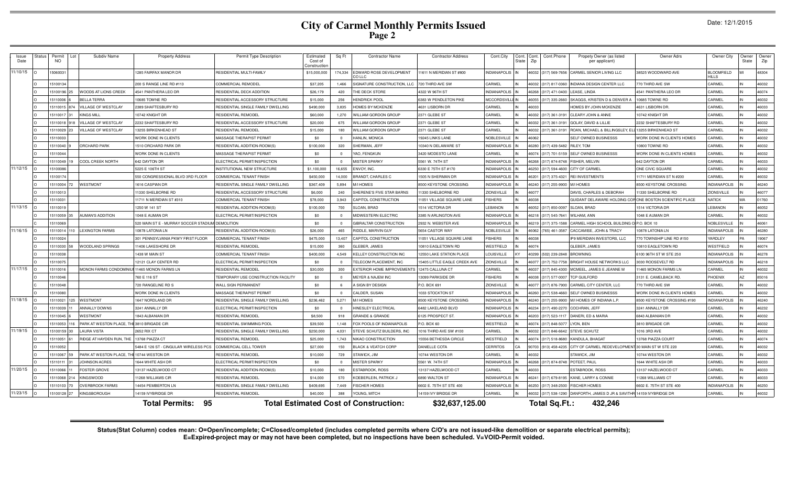# **City of Carmel Monthly Permits Issued Page 2**

Date: 12/1/2015

| Issue<br>Date | Permit<br>NO. | Subdiv Name                 | <b>Property Address</b>                          | Permit Type Description             | Estimated<br>Cost of<br>Constructio | Sq Ft          | <b>Contractor Name</b>                       | <b>Contractor Address</b>   | Cont.City              | Cont.<br>State | Cont.Phone<br>Cont<br>Zip      | Propety Owner (as listed<br>per applicant)                     | Owner Adrs                        | Owner City                        | Owner<br>State | Owner<br>Zip |
|---------------|---------------|-----------------------------|--------------------------------------------------|-------------------------------------|-------------------------------------|----------------|----------------------------------------------|-----------------------------|------------------------|----------------|--------------------------------|----------------------------------------------------------------|-----------------------------------|-----------------------------------|----------------|--------------|
| 11/10/15      | 506003        |                             | <b>1285 FAIRFAX MANOR DR</b>                     | RESIDENTIAL MULTI-FAMILY            | \$15,000,000                        | 174,334        | EDWARD ROSE DEVELOPMENT<br>CO LLC            | 1611 N MERIDIAN ST #800     | NDIANAPOLIS            |                | 46032 (317) 569-7656           | CARMEL SENIOR LIVING LLC                                       | 88525 WOODWARD AVE                | <b>BLOOMFIELD</b><br><b>HILLS</b> |                | 48304        |
|               | 510013        |                             | 200 S RANGE LINE RD #113                         | COMMERCIAL REMODEL                  | \$37,205                            | 1,466          | SIGNATURE CONSTRUCTION, LL                   | 720 THIRD AVE SW            | CARMEL                 |                | 16032<br>(317) 817-0360        | <b>INDIANA DESIGN CENTER LLC</b>                               | 70 THIRD AVE SW                   | CARMEL                            |                | 46032        |
|               | 5100196       | <b>/OODS AT LIONS CREEK</b> | <b>4541 PANTHERA LEO DR</b>                      | RESIDENTIAL DECK ADDITION           | \$26,179                            | 420            | <b>HE DECK STORE</b>                         | 4322 W 96TH ST              | <b>INDIANAPOLIS</b>    |                | 46268 (317) 471-0400           | LEASE, LINDA                                                   | <b>1541 PANTHERA LEO DR</b>       | CARMEL                            |                | 46074        |
|               | 5110006       | <b>BELLA TERRA</b>          | 10685 TOWNE RD                                   | RESIDENTIAL ACCESSORY STRUCTURE     | \$15,000                            | 256            | <b>HENDRICK POOL</b>                         | 6383 W PENDLETON PIKE       | <b>MCCORDSVILLE IN</b> |                | 46055 (317) 335-2660           | SKAGGS, KRISTEN D & DENVER.                                    | 0685 TOWNE RD                     | CARMEL                            |                | 46032        |
|               | 511001        | <b>VILLAGE OF WESTCLAY</b>  | 2389 SHAFTESBURY RD                              | RESIDENTIAL SINGLE FAMILY DWELLING  | \$490,000                           | 3.835          | HOMES BY MCKENZIE                            | 4631 LISBORN DF             | CARMEL                 |                | 16033                          | HOMES BY JOHN MCKENZIE                                         | 4631 LISBORN DR                   | CARMEL                            |                | 46033        |
|               | 511001        | <b>INGS MILL</b>            | 10742 KNIGHT DR                                  | RESIDENTIAL REMODEL                 | \$60,000                            | 1,270          | WILLIAM GORDON GROUP                         | 2371 GLEBE ST               | CARMEL                 |                | (317) 361-3191<br>16032        | <b>CLEARY JOHN &amp; ANNE</b>                                  | 10742 KNIGHT DR                   | CARMEL                            |                | 46032        |
|               | 511001        | VILLAGE OF WESTCLAY         | 2232 SHAFTESBURY RD                              | RESIDENTIAL ACCESSORY STRUCTURE     | \$20,000                            | 675            | WILLIAM GORDON GROUF                         | 2371 GLEBE ST               | CARMEL                 |                | 16032<br>(317) 361-3191        | <b>GOLAY, DAVID &amp; LILLIE</b>                               | 2232 SHAFTESBURY RD               | CARMEL                            |                | 46032        |
|               | 5110029       | <b>/ILLAGE OF WESTCLAY</b>  | 3255 BIRKENHEAD ST                               | RESIDENTIAL REMODEL                 | \$15,000                            | 180            | <b>NILLIAM GORDON GROUP</b>                  | 2371 GLEBE ST               | CARMEL                 |                | 46032 (317) 361-3191           | ROAN, MICHAEL & BILLINGSLEY, EL                                | 13255 BIRKENHEAD ST               | CARMEL                            |                | 46032        |
|               | 5110033       |                             | WORK DONE IN CLIENTS                             | MASSAGE THERAPIST PERMIT            | \$0                                 | $\overline{0}$ | HANLIN, MONICA                               | 19245 LINKS LANE            | NOBLESVILLE            |                | 16062                          | SELF OWNED BUSINESSS                                           | <b>NORK DONE IN CLIENTS HOMES</b> | CARMEL                            |                | 46032        |
|               | 5110040       | ORCHARD PARK                | 1510 ORCHARD PARK DR                             | RESIDENTIAL ADDITION-ROOM(S         | \$100,000                           | 320            | SHERMAN, JEFF                                | 0340 N DELAWARE ST          | <b>INDIANAPOLIS</b>    |                | 46280 (317) 439-5482           | RILEY, TOM                                                     | 0800 TOWNE RD                     | CARMEL                            |                | 46032        |
|               | 5110044       |                             | WORK DONE IN CLIENTS                             | MASSAGE THERAPIST PERMIT            | \$0                                 | $\overline{0}$ | YAO, FENGKUN                                 | 3420 MODESTO LANE           | CARMEL                 |                | 16074<br>(317) 701-5159        | SELF OWNED BUSINESSS                                           | WORK DONE IN CLIENTS HOMES        | CARMEL                            |                | 46032        |
|               | 511004        | COOL CREEK NORTH            | 642 DAYTON DR                                    | ELECTRICAL PERMIT/INSPECTION        | \$0                                 | $\Omega$       | <b>MISTER SPARKY</b>                         | 5561 W. 74TH ST             | <b>INDIANAPOLIS</b>    |                | 16268<br>(317) 874-8748        | FISHER, MELVIN                                                 | 642 DAYTON DR                     | CARMEL                            |                | 46033        |
| 11/12/15      | 510008        |                             | 5225 E 106TH ST                                  | NSTITUTIONAL NEW STRUCTURE          | \$1,100,000                         | 16.655         | <b>ENVOY, INC.</b>                           | 6330 E 75TH ST #170         | NDIANAPOLIS            |                | (317) 594-4600<br>6250         | CITY OF CARME                                                  | ONE CIVIC SQUARE                  | <b>ARMEL</b>                      |                | 46032        |
|               | 5100174       |                             | 550 CONGRESSIONAL BLVD 3RD FLOOR                 | COMMERCIAL TENANT FINISH            | \$450,000                           | 14,000         | BRANDT, CHARLES C                            | 505 N SHERMAN DR            | <b>INDIANAPOLIS</b>    |                | 16201<br>(317) 375-4321        | <b>REI INVESTMENTS</b>                                         | 11711 MERIDIAN ST N #200          | <b>ARMEL</b>                      |                | 46032        |
|               | 5110004       | WESTMONT                    | 1616 CASPIAN DF                                  | RESIDENTIAL SINGLE FAMILY DWELLING  | \$367,409                           | 5.894          | M/I HOMES                                    | 8500 KEYSTONE CROSSING      | <b>INDIANAPOLIS</b>    |                | 46240 (317) 255-9900 M/I HOMES |                                                                | 8500 KEYSTONE CROSSING            | <b>INDIANAPOLIS</b>               |                | 46240        |
|               | 511001        |                             | 1330 SHELBORNE RD                                | RESIDENTIAL ACCESSORY STRUCTURE     | \$6,000                             | 240            | SHERENE'S FIVE STAR BARNS                    | 1330 SHELBORNE RD           | ZIONSVILLE             |                | 16077                          | DAVIS, CHARLES & DEBORAH                                       | 1330 SHELBORNE RD                 | <b>ZIONSVILLE</b>                 |                | 46077        |
|               | 511003        |                             | 11711 N MERIDIAN ST #310                         | COMMERCIAL TENANT FINISH            | \$78,000                            | 3,943          | CAPITOL CONSTRUCTION                         | 1051 VILLAGE SQUARE LANE    | <b>FISHERS</b>         |                | 46038                          | GUIDANT DELAWARE HOLDING COF                                   | ONE BOSTON SCIENTIFIC PLACE       | <b>NATICK</b>                     | MA             | 01760        |
| 11/13/15      | 5110019       |                             | 1250 W 141 ST                                    | RESIDENTIAL ADDITION-ROOM(S         | \$100,000                           | 700            | <b>SLOAN, BRAD</b>                           | 514 VICTORIA DR             | <b>EBANON</b>          |                | 6052 (317) 850-0097            | SLOAN, BRAD                                                    | <b>1514 VICTORIA DF</b>           | <b>EBANON</b>                     |                | 46052        |
|               | 5110059       | <b>AUMAN'S ADDITION</b>     | 1048 E AUMAN DR                                  | ELECTRICAL PERMIT/INSPECTION        | \$0                                 | $\overline{0}$ | MIDWESTERN ELECTRIC                          | 3385 N ARLINGTON AVE        | <b>INDIANAPOLIS</b>    |                | 46218 (317) 545-7641           | WILHAM, ANN                                                    | 1048 E AUMAN DR                   | CARMEL                            |                | 46032        |
|               | 5110069       |                             | 520 MAIN ST E - MURRAY SOCCER STADIUM DEMOLITION |                                     | \$0                                 | $\Omega$       | GIBRALTAR CONSTRUCTION                       | 2932 N. WEBSTER AVE         | <b>INDIANAPOLIS</b>    |                |                                | 46219 (317) 375-1588 CARMEL HIGH SCHOOL BUILDING C P.O. BOX 10 |                                   | NOBLESVILLE                       |                | 46061        |
| 11/16/15      | 511001        | <b>LEXINGTON FARMS</b>      | 10878 LATONIA LN                                 | RESIDENTIAL ADDITION-ROOM(S)        | \$26,000                            | 465            | RIDDLE, MARVIN GUY                           | 5654 CASTOR WAY             | NOBLESVILLE            |                | 46062 (765) 461-3587           | CACCAMISE, JOHN & TRACY                                        | 0878 LATONIA LN                   | <b>INDIANAPOLIS</b>               |                | 46280        |
|               | 511002        |                             | 301 PENNSYLVANIA PKWY FIRST FLOOF                | COMMERCIAL TENANT FINISH            | \$475,000                           | 13.407         | CAPITOL CONSTRUCTION                         | 1051 VILLAGE SQUARE LANE    | <b>ISHERS</b>          |                | 16038                          | IP9 MERIDIAN INVESTORS, LLC                                    | 770 TOWNSHIP LINE RD #150         | YARDLEY                           |                | 19067        |
|               | 5110030       | VOODLAND SPRINGS            | 1406 LAKESHORE DR                                | RESIDENTIAL REMODEL                 | \$15,000                            | 360            | GLEBER, JAMES                                | 0810 EAGLETOWN RD           | VESTFIELD              |                | 16074                          | GLEBER JAMES                                                   | 0810 EAGLETOWN RD                 | VESTFIELD                         |                | 46074        |
|               | 5110038       |                             | 1438 W MAIN ST                                   | COMMERCIAL TENANT FINISH            | \$400,000                           | 4.549          | KELLEY CONSTRUCTION INC                      | 2550 LAKE STATION PLACE     | <b>LOUISVILLE</b>      |                | 40299 (502) 239-2848           | <b>BROWNING</b>                                                | 6100 96TH ST W STE 250            | <b>INDIANAPOLIS</b>               |                | 46278        |
|               | 511007        |                             | 12121 CLAY CENTER RD                             | ELECTRICAL PERMIT/INSPECTION        | \$0                                 | $\Omega$       | TELECOM PLACEMENT, INC                       | 5405 LITTLE EAGLE CREEK AVE | <b>ZIONSVILLE</b>      |                | 46077 (317) 752-7758           | BRIGHT HOUSE NETWORKS LLC                                      | 3030 ROOSEVELT RD                 | <b>INDIANAPOLIS</b>               |                | 46218        |
| 11/17/15      | 511001        | MONON FARMS CONDOMINIU      | 11465 MONON FARMS LN                             | RESIDENTIAL REMODEL                 | \$30,000                            | 300            | EXTERIOR HOME IMPROVEMEN                     | 12475 CALLUNA CT            | CARMEL                 |                | 16037<br>(317) 845-4300        | MCMEEL, JAMES E JEANNE M                                       | 1465 MONON FARMS LN               | CARMEL                            |                | 46032        |
|               | 511004        |                             | 760 E 116 ST                                     | TEMPORARY USE CONSTRUCTION FACILITY | \$0                                 | $\overline{0}$ | MEYER & NAJEM INC                            | 13099 PARKSIDE DR           | <b>FISHERS</b>         |                | 46038<br>(317) 577-0007        | <b>TCP GUILFORD</b>                                            | 3131 E. CAMELBACK RD              | <b>HOENIX</b>                     | <b>AZ</b>      | 85016        |
|               | 5110048       |                             | <b>720 RANGELINE RD S</b>                        | WALL SIGN PERMANENT                 | \$0                                 | -6             | A SIGN BY DESIGN                             | P.O. BOX 691                | ZIONSVILLE             |                | 16077<br>(317) 876-7900        | CARMEL CITY CENTER, LLC                                        | 770 THIRD AVE SW                  | <b>ARMEL</b>                      |                | 46032        |
|               | 5110080       |                             | WORK DONE IN CLIENTS                             | MASSAGE THERAPIST PERMIT            | \$0                                 | $\Omega$       | CALDER, SUSAN                                | 033 STOCKTON ST             | <b>INDIANAPOLIS</b>    |                | 46260 (317) 538-4660           | <b>SELF OWNED BUSINESSS</b>                                    | WORK DONE IN CLIENTS HOMES        | CARMEL                            |                | 46032        |
| 11/18/15      | 511002        | WESTMONT                    | 1647 NORDLAND DR                                 | RESIDENTIAL SINGLE FAMILY DWELLING  | \$236.462                           | 5.271          | M/I HOMES                                    | 8500 KEYSTONE CROSSING      | <b>INDIANAPOLIS</b>    |                | 46240 (317) 255-9900           | M/I HOMES OF INDIANA L.P.                                      | 8500 KEYSTONE CROSSING #190       | <b>INDIANAPOLIS</b>               |                | 46240        |
|               | 5110039       | <b>NNALLY DOWNS</b>         | 3241 ANNALLY DF                                  | ELECTRICAL PERMIT/INSPECTION        | \$0                                 | $\Omega$       | HINESLEY ELECTRICAL                          | 6482 LAKELAND BLVD          | <b>INDIANAPOLIS</b>    |                | 46234 (317) 490-2270           | COCHRAN, JEFI                                                  | 3241 ANNALLY DR                   | <b>ARMEL</b>                      |                | 46232        |
|               | 5110045       | <b>NESTMONT</b>             | <b>1843 ALBANIAN DR</b>                          | RESIDENTIAL REMODEL                 | \$8,500                             | 918            | <b>GRANDE &amp; GRANDE</b>                   | 6125 PROSPECT ST.           | <b>INDIANAPOLIS</b>    |                | 16203<br>(317) 523-1117        | DANERI, ED & MARIA                                             | <b>6843 ALBANIAN DR</b>           | CARMEL                            |                | 46032        |
|               | 5110053       | PARK AT WESTON PLACE. THI   | 3810 BRIGADE CIR                                 | RESIDENTIAL SWIMMING POOL           | \$39,500                            | 1.148          | OX POOLS OF INDIANAPOLIS                     | P.O. BOX 60                 | VESTFIELD              |                | 16074 (317) 848-5077           | LYON, BEN                                                      | <b>8810 BRIGADE CIR</b>           | CARMEL                            |                | 46032        |
| 11/19/15      | 5100159       | <b>AURA VISTA</b>           | 2652 RIX CT                                      | RESIDENTIAL SINGLE FAMILY DWELLING  | \$250,000                           | 4,031          | STEVE SCHUTZ BUILDERS, INC                   | 016 THIRD AVE SW #100       | CARMEL                 |                | 46032 (317) 846-6642           | <b>STEVE SCHUTZ</b>                                            | 016 3RD AVE                       | CARMEL                            |                | 46032        |
|               | 511005        | RIDGE AT HAYDEN RUN, THE    | 13768 PIAZZA CT                                  | RESIDENTIAL REMODEI                 | \$25,000                            | 1,743          | NIKAO CONSTRUCTION                           | 5556 BETHESDA CIRCLE        | WESTFIELD              |                | 46074 (317) 518-8680           | KANDULA, BHAGAT                                                | 3768 PIAZZA COURT                 | CARMEL                            |                | 46074        |
|               | 5110052       |                             | 5484 E 126 ST - CINGULAR WIRELESS PCS            | COMMERCIAL CELL TOWER               | \$27,000                            | 150            | <b>BLACK &amp; VEATCH CORP</b>               | DANIELLE COTA               | CERRITOS               |                | 90703<br>(913) 458-4235        | CITY OF CARMEL REDEVELOPMENT                                   | 30 MAIN STW STE 220               | CARMEL                            |                | 46032        |
|               | 511006        | PARK AT WESTON PLACE, TH    | 10744 WESTON DF                                  | RESIDENTIAL REMODEI                 | \$10,000                            | 729            | STAWICK, JIM                                 | 0744 WESTON DF              | CARMEL                 |                | 16032                          | STAWICK, JIM                                                   | 10744 WESTON DF                   | CARMEL                            |                | 46032        |
|               | 511011        | OHNSON ACRES                | 644 WHITE ASH DR                                 | ELECTRICAL PERMIT/INSPECTION        | \$0                                 | $\Omega$       | <b>MISTER SPARKY</b>                         | 5561 W. 74TH ST             | NDIANAPOLIS            |                | 46268 (317) 874-8748           | POTEET, PAUL                                                   | 644 WHITE ASH DR                  | CARMEL                            |                | 46033        |
| 11/20/15      | 5110066       | <b>FOSTER GROVE</b>         | 13137 HAZELWOOD CT                               | RESIDENTIAL ADDITION-ROOM(S)        | \$10,000                            | 180            | <b>ESTABROOK, ROSS</b>                       | 13137 HAZELWOOD CT          | CARMEL                 |                | 16033                          | ESTABROOK, ROSS                                                | 13137 HAZELWOOD CT                | CARMEL                            |                | 46033        |
|               | 5110068       | KINGSWOOD                   | 11268 WILLIAMS CIR                               | RESIDENTIAL REMODEL                 | \$14,000                            | 570            | <b>KOEBERLEIN, PATRICK J</b>                 | 6890 WALTON ST              | <b>INDIANAPOLIS</b>    |                | 46241 (317) 679-8195           | KANE, LARRY & CONNIE                                           | 1268 WILLIAMS CT                  | CARMEL                            |                | 46033        |
|               | 511010        | <b>VERBROOK FARMS</b>       | 4454 PEMBERTON LN                                | RESIDENTIAL SINGLE FAMILY DWELLING  | \$409,695                           | 7,449          | <b>ISCHER HOMES</b>                          | 6602 E. 75TH ST STE 400     | <b>INDIANAPOLIS</b>    |                | 46250 (317) 348-2500           | <b>FISCHER HOMES</b>                                           | 6602 E. 75TH ST STE 400           | NDIANAPOLIS                       |                | 46250        |
| 11/23/15      | 510012        | KINGSBOROUGH                | 4159 IVYBRIDGE DR                                | RESIDENTIAL REMODEL                 | \$40,000                            | 388            | YOUNG, MITCH                                 | 14159 IVY BRIDGE DR         | CARMEL                 |                | 16032<br>(317) 538-1290        | DANFORTH, JAMES D JR & SAVITHR                                 | 14159 IVYBRIDGE DR                | CARMEL                            |                | 46032        |
|               |               |                             | 95<br><b>Total Permits:</b>                      |                                     |                                     |                | <b>Total Estimated Cost of Construction:</b> | \$32,637,125.00             |                        |                | Total Sq.Ft.:                  | 432,246                                                        |                                   |                                   |                |              |

Status(Stat Column) codes mean: O=Open/incomplete; C=Closed/completed (includes completed permits where C/O's are not issued-like demolition or separate electrical permits);<br>E=Expired-project may or may not have been compl